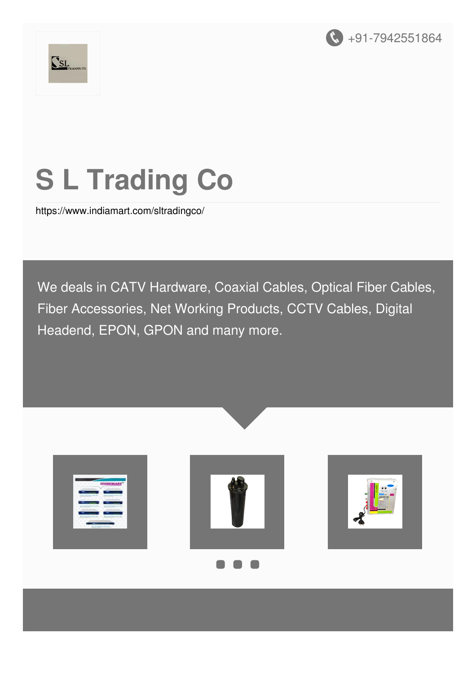



# **S L Trading Co**

<https://www.indiamart.com/sltradingco/>

We deals in CATV Hardware, Coaxial Cables, Optical Fiber Cables, Fiber Accessories, Net Working Products, CCTV Cables, Digital Headend, EPON, GPON and many more.

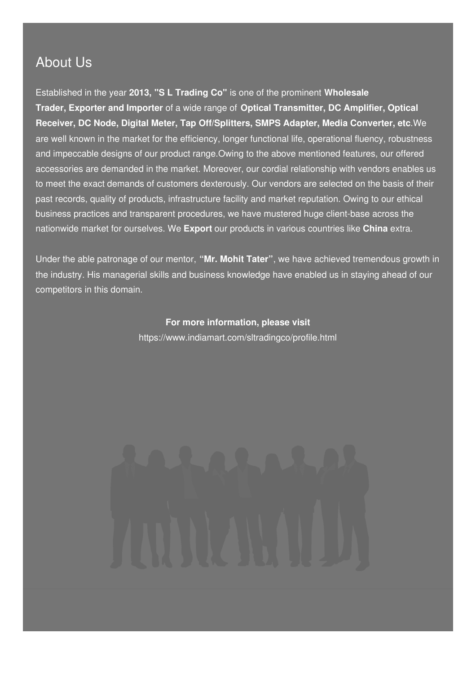#### About Us

Established in the year **2013, "S L Trading Co"** is one of the prominent **Wholesale Trader, Exporter and Importer** of a wide range of **Optical Transmitter, DC Amplifier, Optical Receiver, DC Node, Digital Meter, Tap Off/Splitters, SMPS Adapter, Media Converter, etc**.We are well known in the market for the efficiency, longer functional life, operational fluency, robustness and impeccable designs of our product range.Owing to the above mentioned features, our offered accessories are demanded in the market. Moreover, our cordial relationship with vendors enables us to meet the exact demands of customers dexterously. Our vendors are selected on the basis of their past records, quality of products, infrastructure facility and market reputation. Owing to our ethical business practices and transparent procedures, we have mustered huge client-base across the nationwide market for ourselves. We **Export** our products in various countries like **China** extra.

Under the able patronage of our mentor, **"Mr. Mohit Tater"**, we have achieved tremendous growth in the industry. His managerial skills and business knowledge have enabled us in staying ahead of our competitors in this domain.

> **For more information, please visit** <https://www.indiamart.com/sltradingco/profile.html>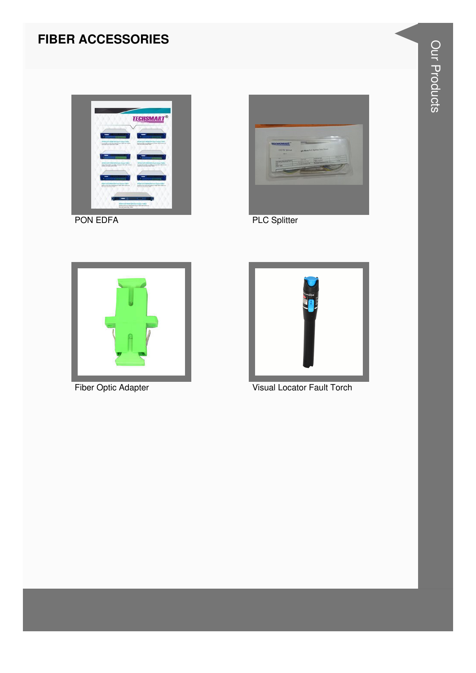# **FIBER ACCESSORIES**





**PLC Splitter** 



Fiber Optic Adapter



Visual Locator Fault Torch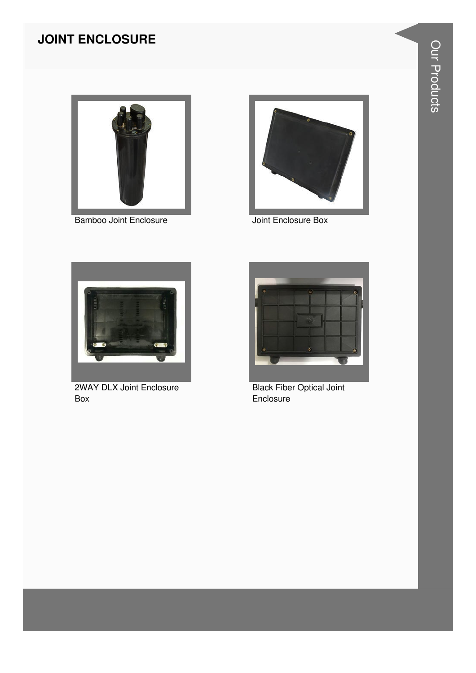# **JOINT ENCLOSURE**



**Bamboo Joint Enclosure** 



Joint Enclosure Box



**2WAY DLX Joint Enclosure** Box



**Black Fiber Optical Joint** Enclosure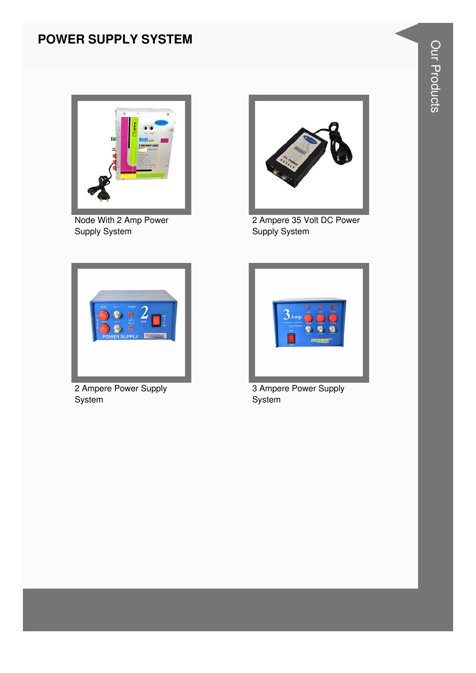#### **POWER SUPPLY SYSTEM**



Node With 2 Amp Power Supply System



2 Ampere 35 Volt DC Power Supply System



2 Ampere Power Supply System



3 Ampere Power Supply System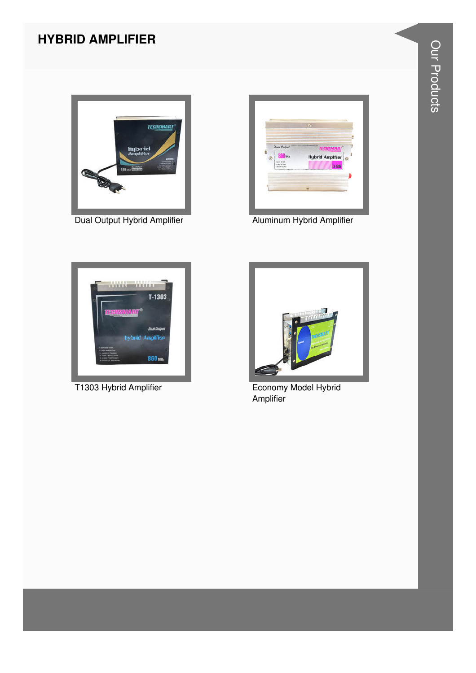#### **HYBRID AMPLIFIER**



Dual Output Hybrid Amplifier **Aluminum Hybrid Amplifier** 







T1303 Hybrid Amplifier **Example 2018** Economy Model Hybrid **Amplifier**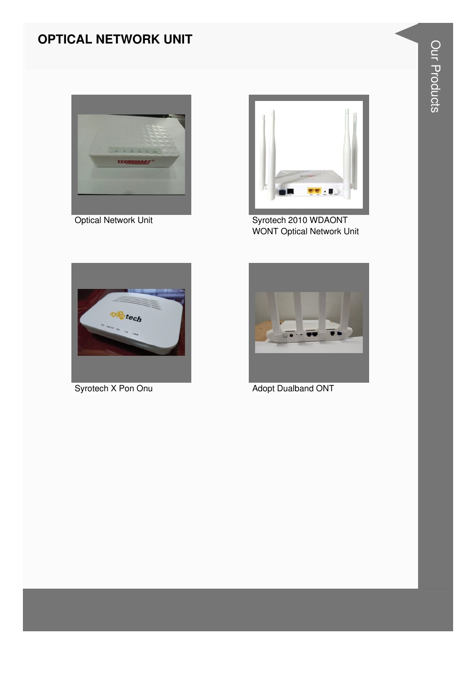#### **OPTICAL NETWORK UNIT**



**Optical Network Unit** 



Syrotech 2010 WDAONT **WONT Optical Network Unit** 



Syrotech X Pon Onu



**Adopt Dualband ONT**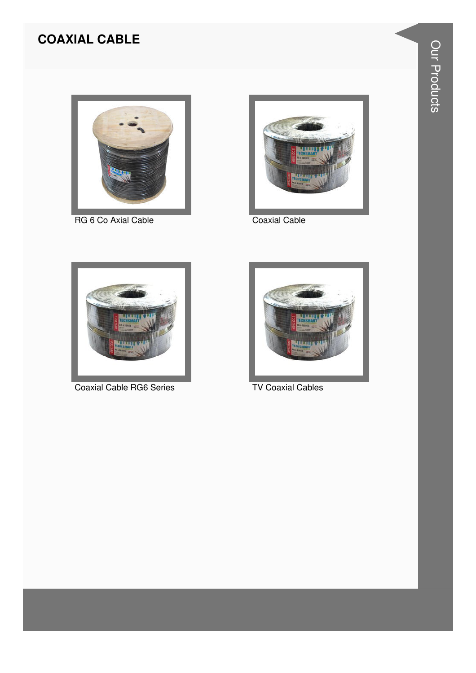# **COAXIAL CABLE**



RG 6 Co Axial Cable



**Coaxial Cable** 



**Coaxial Cable RG6 Series** 



**TV Coaxial Cables**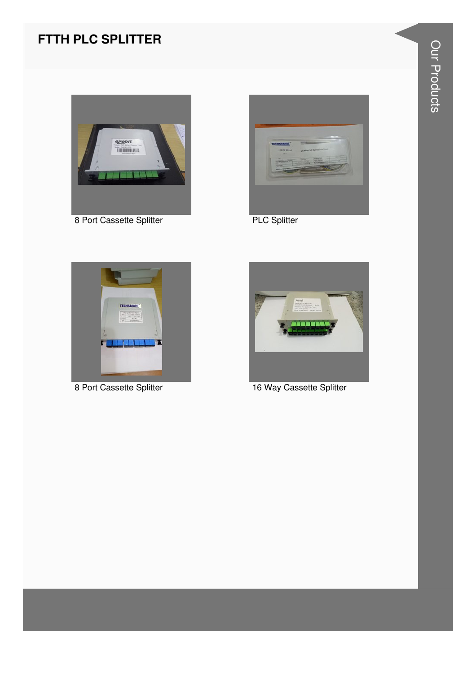# **FTTH PLC SPLITTER**



8 Port Cassette Splitter **PLC Splitter** 







8 Port Cassette Splitter 16 Way Cassette Splitter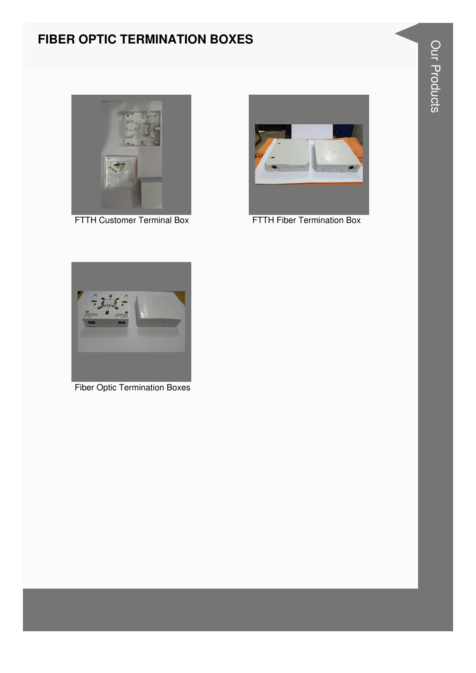#### **FIBER OPTIC TERMINATION BOXES**





FTTH Customer Terminal Box FTTH Fiber Termination Box



Fiber Optic Termination Boxes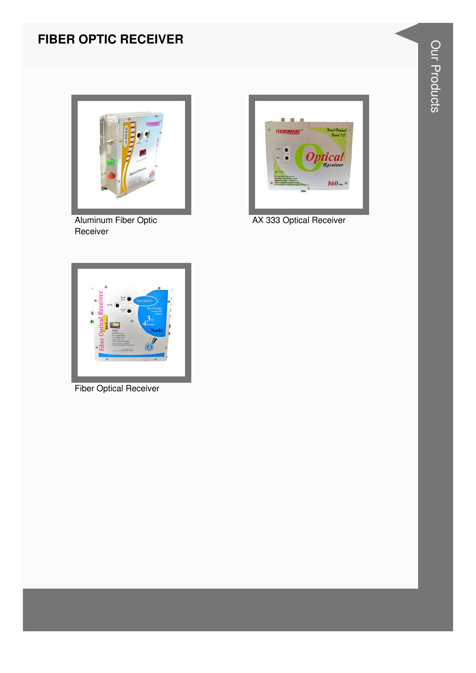# **FIBER OPTIC RECEIVER**



Aluminum Fiber Optic Receiver



AX 333 Optical Receiver



**Fiber Optical Receiver**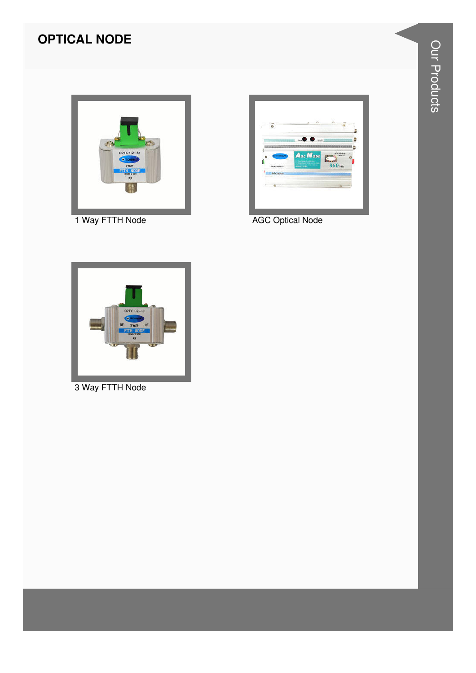# **OPTICAL NODE**



1 Way FTTH Node

|   |                                        |   | e.                                                               | $\sim$<br>×.               | <b>ALC</b> |  |
|---|----------------------------------------|---|------------------------------------------------------------------|----------------------------|------------|--|
|   |                                        | ÷ | $\mathbf{0}$                                                     |                            |            |  |
|   |                                        |   | Acc None                                                         |                            | AGG MAA    |  |
|   | пентими                                |   | of the team distances.<br><b>AT THE CAR TEST HOUSE &amp; ALL</b> | <b>Stand</b><br>$860$ vate | which I.C. |  |
|   | <b>SAML OUTPUT</b><br><b>AGC NIGHT</b> |   | <b>Manager Street, Texas Street</b>                              |                            |            |  |
| x |                                        |   |                                                                  |                            |            |  |
|   |                                        |   |                                                                  |                            |            |  |

AGC Optical Node



3 Way FTTH Node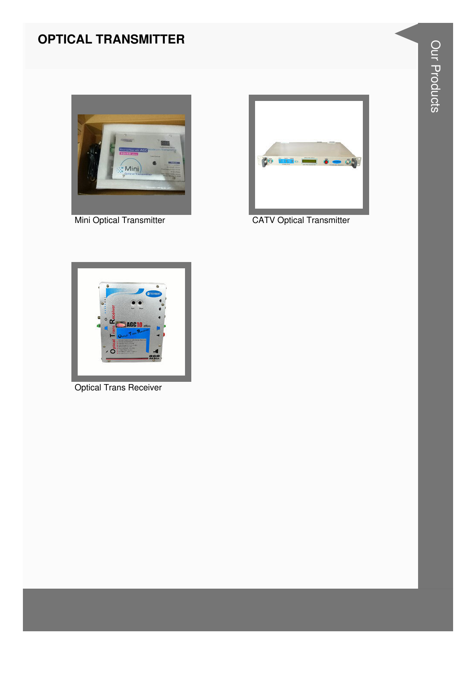#### **OPTICAL TRANSMITTER**



Mini Optical Transmitter



**CATV Optical Transmitter** 



**Optical Trans Receiver**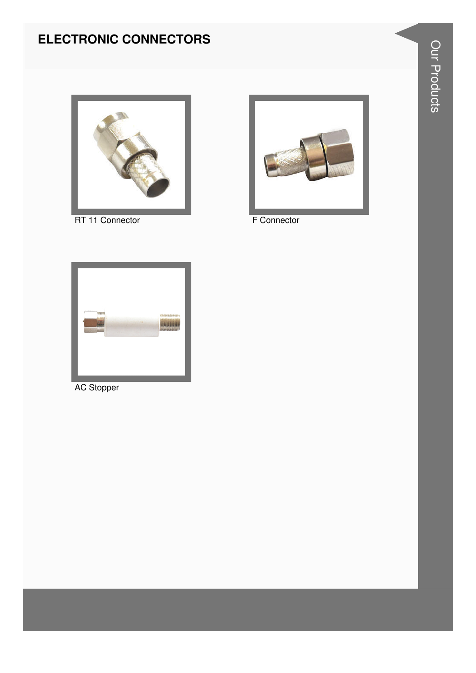# **ELECTRONIC CONNECTORS**



RT 11 Connector



F Connector



**AC Stopper**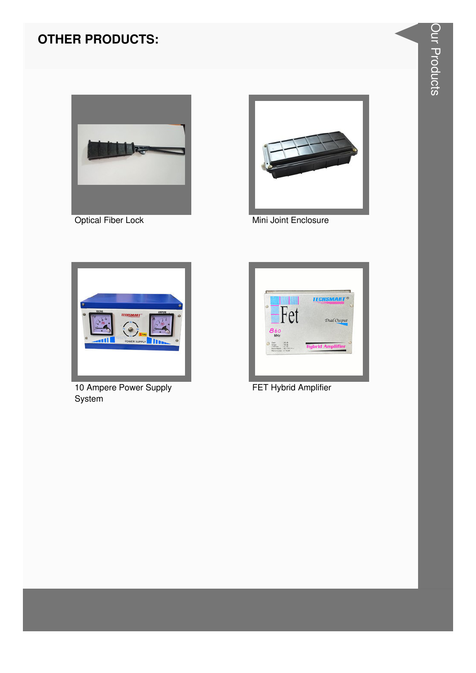



Optical Fiber Lock Mini Joint Enclosure



10 Ampere Power Supply **System** 



FET Hybrid Amplifier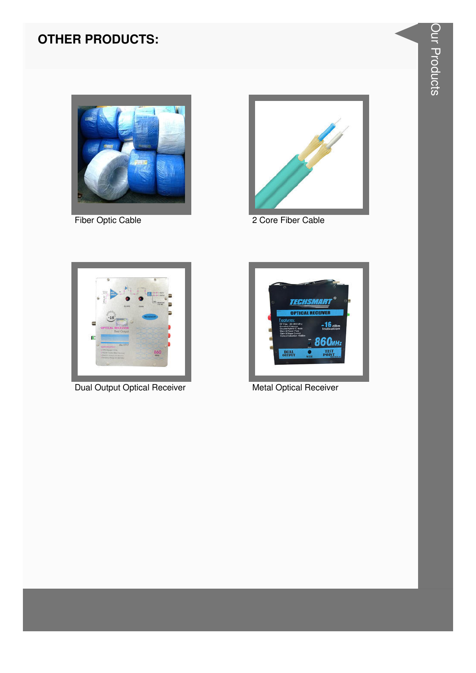



Fiber Optic Cable 2 Core Fiber Cable



Dual Output Optical Receiver **Metal Optical Receiver** Metal Optical Receiver

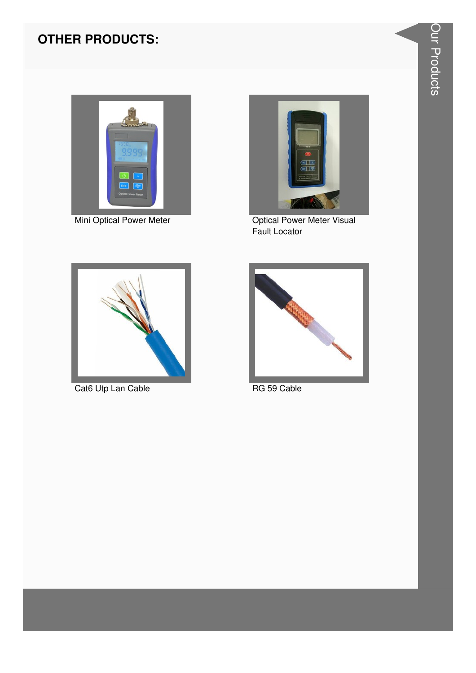

Mini Optical Power Meter



**Optical Power Meter Visual** Fault Locator



Cat6 Utp Lan Cable



RG 59 Cable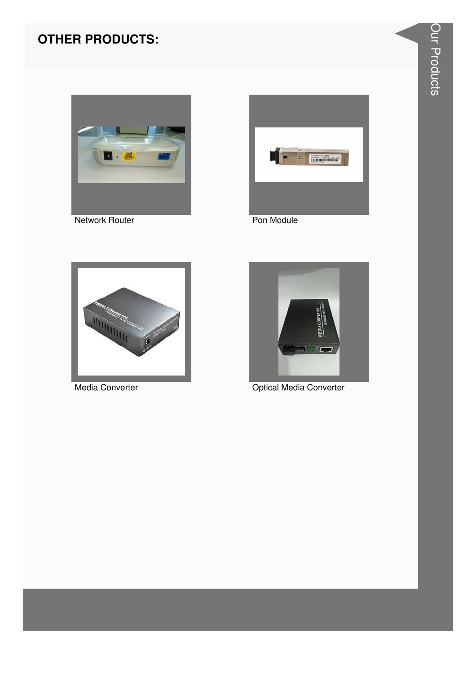

Network Router



Pon Module



Media Converter



Optical Media Converter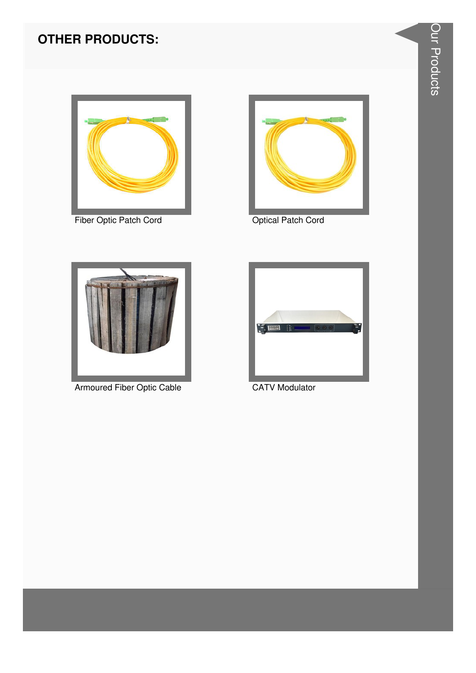

Fiber Optic Patch Cord **Canadian Cord Cord Cord Cord Cord** Optical Patch Cord





Armoured Fiber Optic Cable CATV Modulator

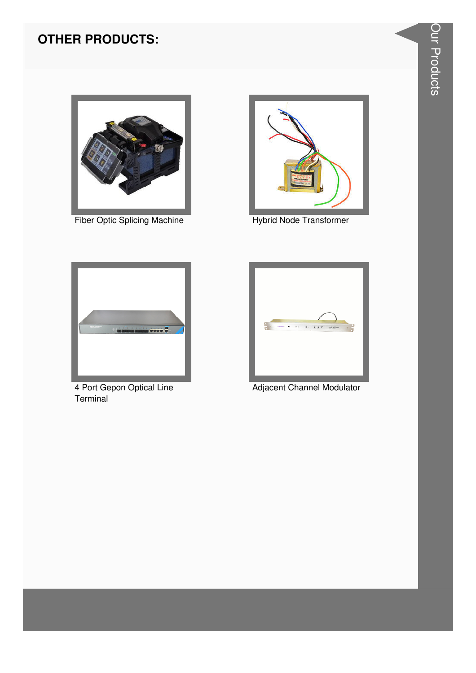

Fiber Optic Splicing Machine **Hybrid Node Transformer** 





4 Port Gepon Optical Line **Terminal** 



Adjacent Channel Modulator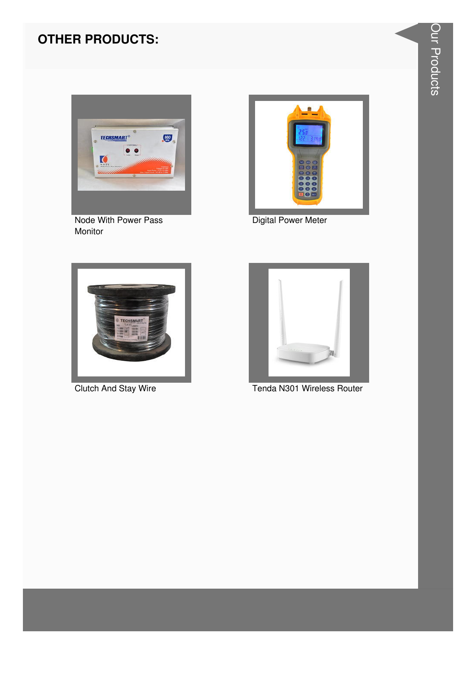

Node With Power Pass Monitor



**Digital Power Meter** 



**Clutch And Stay Wire** 



Tenda N301 Wireless Router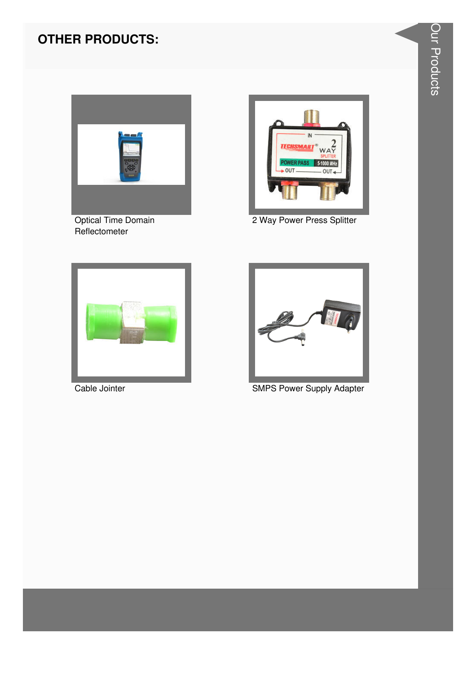

Optical Time Domain Reflectometer



2 Way Power Press Splitter





Cable Jointer **SMPS Power Supply Adapter**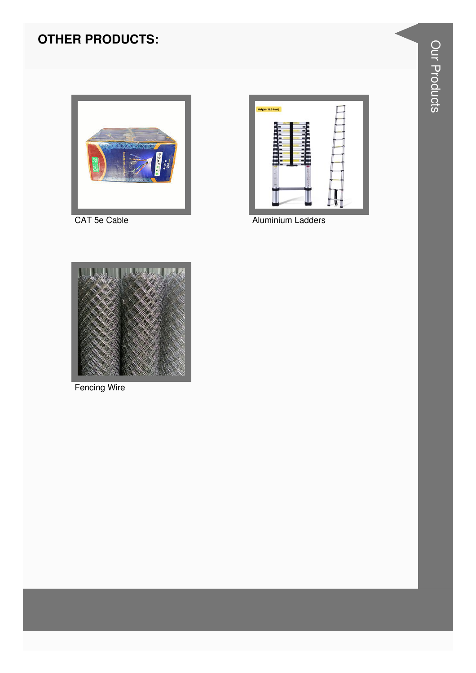

CAT 5e Cable



Aluminium Ladders



**Fencing Wire**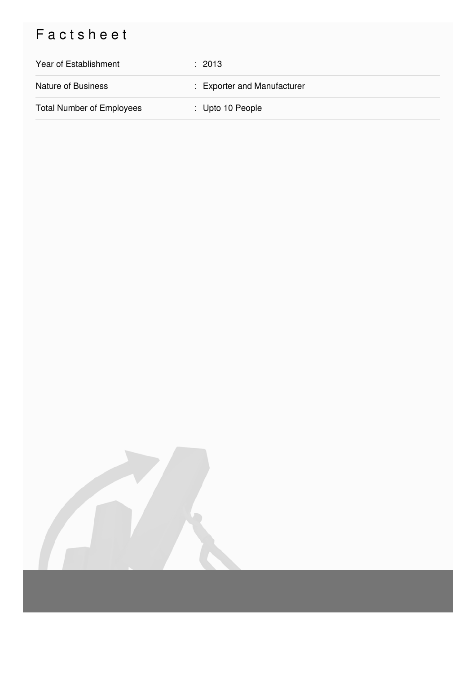# Factsheet

| Year of Establishment            | $\div$ 2013                 |
|----------------------------------|-----------------------------|
| <b>Nature of Business</b>        | : Exporter and Manufacturer |
| <b>Total Number of Employees</b> | $\therefore$ Upto 10 People |